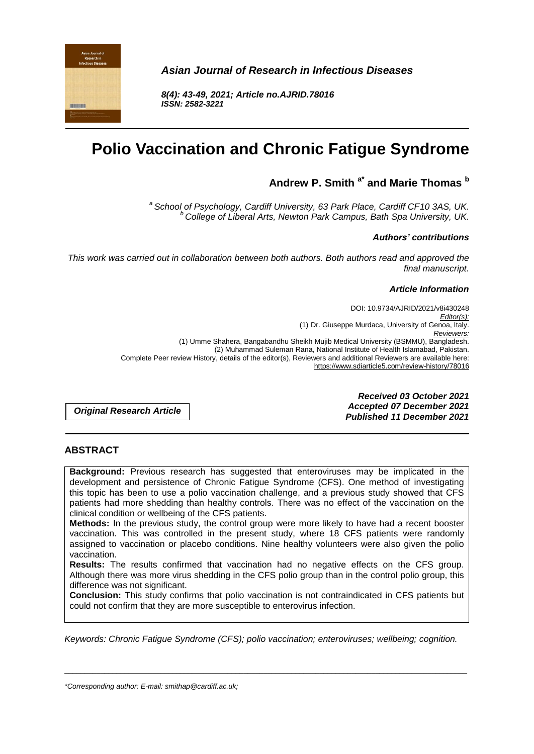

*Asian Journal of Research in Infectious Diseases*

*8(4): 43-49, 2021; Article no.AJRID.78016 ISSN: 2582-3221*

# **Polio Vaccination and Chronic Fatigue Syndrome**

# **Andrew P. Smith a\* and Marie Thomas <sup>b</sup>**

*a School of Psychology, Cardiff University, 63 Park Place, Cardiff CF10 3AS, UK. <sup>b</sup> College of Liberal Arts, Newton Park Campus, Bath Spa University, UK.*

#### *Authors' contributions*

*This work was carried out in collaboration between both authors. Both authors read and approved the final manuscript.*

#### *Article Information*

DOI: 10.9734/AJRID/2021/v8i430248 *Editor(s):* (1) Dr. Giuseppe Murdaca, University of Genoa, Italy. *Reviewers:* (1) Umme Shahera, Bangabandhu Sheikh Mujib Medical University (BSMMU), Bangladesh. (2) Muhammad Suleman Rana, National Institute of Health Islamabad, Pakistan. Complete Peer review History, details of the editor(s), Reviewers and additional Reviewers are available here: https://www.sdiarticle5.com/review-history/78016

*Original Research Article*

*Received 03 October 2021 Accepted 07 December 2021 Published 11 December 2021*

#### **ABSTRACT**

**Background:** Previous research has suggested that enteroviruses may be implicated in the development and persistence of Chronic Fatigue Syndrome (CFS). One method of investigating this topic has been to use a polio vaccination challenge, and a previous study showed that CFS patients had more shedding than healthy controls. There was no effect of the vaccination on the clinical condition or wellbeing of the CFS patients.

**Methods:** In the previous study, the control group were more likely to have had a recent booster vaccination. This was controlled in the present study, where 18 CFS patients were randomly assigned to vaccination or placebo conditions. Nine healthy volunteers were also given the polio vaccination.

**Results:** The results confirmed that vaccination had no negative effects on the CFS group. Although there was more virus shedding in the CFS polio group than in the control polio group, this difference was not significant.

**Conclusion:** This study confirms that polio vaccination is not contraindicated in CFS patients but could not confirm that they are more susceptible to enterovirus infection.

*Keywords: Chronic Fatigue Syndrome (CFS); polio vaccination; enteroviruses; wellbeing; cognition.*

\_\_\_\_\_\_\_\_\_\_\_\_\_\_\_\_\_\_\_\_\_\_\_\_\_\_\_\_\_\_\_\_\_\_\_\_\_\_\_\_\_\_\_\_\_\_\_\_\_\_\_\_\_\_\_\_\_\_\_\_\_\_\_\_\_\_\_\_\_\_\_\_\_\_\_\_\_\_\_\_\_\_\_\_\_\_\_\_\_\_\_\_\_\_\_\_\_\_\_\_\_

*\*Corresponding author: E-mail: smithap@cardiff.ac.uk;*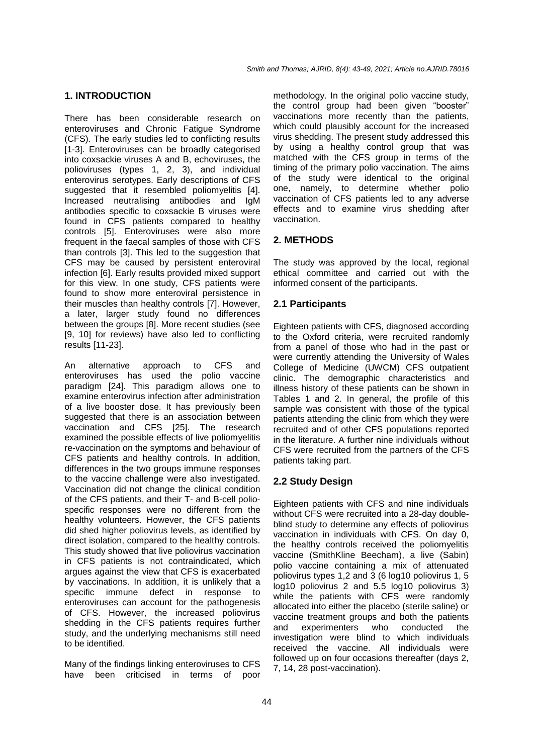#### **1. INTRODUCTION**

There has been considerable research on enteroviruses and Chronic Fatigue Syndrome (CFS). The early studies led to conflicting results [1-3]. Enteroviruses can be broadly categorised into coxsackie viruses A and B, echoviruses, the polioviruses (types 1, 2, 3), and individual enterovirus serotypes. Early descriptions of CFS suggested that it resembled poliomyelitis [4]. Increased neutralising antibodies and IgM antibodies specific to coxsackie B viruses were found in CFS patients compared to healthy controls [5]. Enteroviruses were also more frequent in the faecal samples of those with CFS than controls [3]. This led to the suggestion that CFS may be caused by persistent enteroviral infection [6]. Early results provided mixed support for this view. In one study, CFS patients were found to show more enteroviral persistence in their muscles than healthy controls [7]. However, a later, larger study found no differences between the groups [8]. More recent studies (see [9, 10] for reviews) have also led to conflicting results [11-23].

An alternative approach to CFS and enteroviruses has used the polio vaccine paradigm [24]. This paradigm allows one to examine enterovirus infection after administration of a live booster dose. It has previously been suggested that there is an association between vaccination and CFS [25]. The research examined the possible effects of live poliomyelitis re-vaccination on the symptoms and behaviour of CFS patients and healthy controls. In addition, differences in the two groups immune responses to the vaccine challenge were also investigated. Vaccination did not change the clinical condition of the CFS patients, and their T- and B-cell poliospecific responses were no different from the healthy volunteers. However, the CFS patients did shed higher poliovirus levels, as identified by direct isolation, compared to the healthy controls. This study showed that live poliovirus vaccination in CFS patients is not contraindicated, which argues against the view that CFS is exacerbated by vaccinations. In addition, it is unlikely that a specific immune defect in response to enteroviruses can account for the pathogenesis of CFS. However, the increased poliovirus shedding in the CFS patients requires further study, and the underlying mechanisms still need to be identified.

Many of the findings linking enteroviruses to CFS have been criticised in terms of poor

methodology. In the original polio vaccine study, the control group had been given "booster" vaccinations more recently than the patients, which could plausibly account for the increased virus shedding. The present study addressed this by using a healthy control group that was matched with the CFS group in terms of the timing of the primary polio vaccination. The aims of the study were identical to the original one, namely, to determine whether polio vaccination of CFS patients led to any adverse effects and to examine virus shedding after vaccination.

# **2. METHODS**

The study was approved by the local, regional ethical committee and carried out with the informed consent of the participants.

## **2.1 Participants**

Eighteen patients with CFS, diagnosed according to the Oxford criteria, were recruited randomly from a panel of those who had in the past or were currently attending the University of Wales College of Medicine (UWCM) CFS outpatient clinic. The demographic characteristics and illness history of these patients can be shown in Tables 1 and 2. In general, the profile of this sample was consistent with those of the typical patients attending the clinic from which they were recruited and of other CFS populations reported in the literature. A further nine individuals without CFS were recruited from the partners of the CFS patients taking part.

# **2.2 Study Design**

Eighteen patients with CFS and nine individuals without CFS were recruited into a 28-day doubleblind study to determine any effects of poliovirus vaccination in individuals with CFS. On day 0, the healthy controls received the poliomyelitis vaccine (SmithKline Beecham), a live (Sabin) polio vaccine containing a mix of attenuated poliovirus types 1,2 and 3 (6 log10 poliovirus 1, 5 log10 poliovirus 2 and 5.5 log10 poliovirus 3) while the patients with CFS were randomly allocated into either the placebo (sterile saline) or vaccine treatment groups and both the patients and experimenters who conducted the investigation were blind to which individuals received the vaccine. All individuals were followed up on four occasions thereafter (days 2, 7, 14, 28 post-vaccination).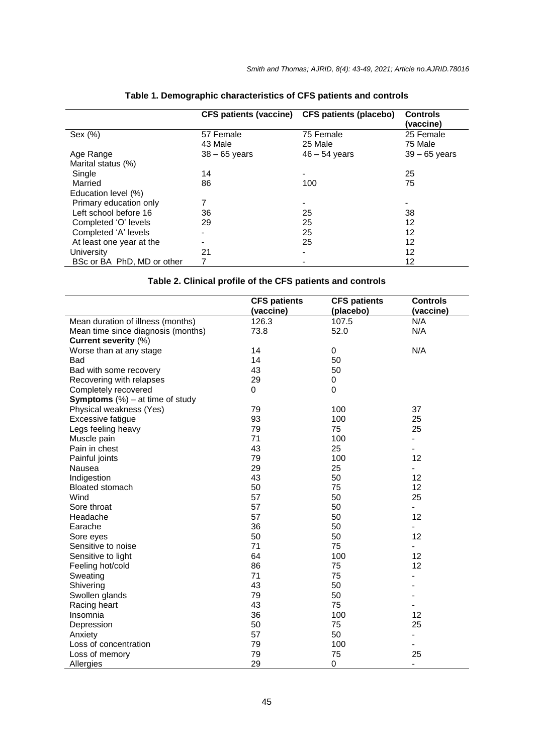|                            |                 | CFS patients (vaccine) CFS patients (placebo) | <b>Controls</b><br>(vaccine) |
|----------------------------|-----------------|-----------------------------------------------|------------------------------|
| Sex (%)                    | 57 Female       | 75 Female                                     | 25 Female                    |
|                            | 43 Male         | 25 Male                                       | 75 Male                      |
| Age Range                  | $38 - 65$ years | $46 - 54$ years                               | $39 - 65$ years              |
| Marital status (%)         |                 |                                               |                              |
| Single                     | 14              | -                                             | 25                           |
| Married                    | 86              | 100                                           | 75                           |
| Education level (%)        |                 |                                               |                              |
| Primary education only     | 7               |                                               |                              |
| Left school before 16      | 36              | 25                                            | 38                           |
| Completed 'O' levels       | 29              | 25                                            | 12                           |
| Completed 'A' levels       |                 | 25                                            | 12                           |
| At least one year at the   |                 | 25                                            | 12                           |
| University                 | 21              | -                                             | 12                           |
| BSc or BA PhD, MD or other |                 |                                               | 12                           |

# **Table 1. Demographic characteristics of CFS patients and controls**

# **Table 2. Clinical profile of the CFS patients and controls**

|                                           | <b>CFS patients</b><br>(vaccine) | <b>CFS patients</b><br>(placebo) | <b>Controls</b><br>(vaccine) |
|-------------------------------------------|----------------------------------|----------------------------------|------------------------------|
| Mean duration of illness (months)         | 126.3                            | 107.5                            | N/A                          |
| Mean time since diagnosis (months)        | 73.8                             | 52.0                             | N/A                          |
| Current severity (%)                      |                                  |                                  |                              |
| Worse than at any stage                   | 14                               | 0                                | N/A                          |
| Bad                                       | 14                               | 50                               |                              |
| Bad with some recovery                    | 43                               | 50                               |                              |
| Recovering with relapses                  | 29                               | 0                                |                              |
| Completely recovered                      | $\Omega$                         | 0                                |                              |
| <b>Symptoms</b> $(\%)$ – at time of study |                                  |                                  |                              |
| Physical weakness (Yes)                   | 79                               | 100                              | 37                           |
| <b>Excessive fatigue</b>                  | 93                               | 100                              | 25                           |
| Legs feeling heavy                        | 79                               | 75                               | 25                           |
| Muscle pain                               | 71                               | 100                              |                              |
| Pain in chest                             | 43                               | 25                               |                              |
| Painful joints                            | 79                               | 100                              | 12                           |
| Nausea                                    | 29                               | 25                               |                              |
| Indigestion                               | 43                               | 50                               | 12                           |
| <b>Bloated stomach</b>                    | 50                               | 75                               | 12                           |
| Wind                                      | 57                               | 50                               | 25                           |
| Sore throat                               | 57                               | 50                               | $\overline{\phantom{0}}$     |
| Headache                                  | 57                               | 50                               | 12                           |
| Earache                                   | 36                               | 50                               |                              |
| Sore eyes                                 | 50                               | 50                               | 12                           |
| Sensitive to noise                        | 71                               | 75                               |                              |
| Sensitive to light                        | 64                               | 100                              | 12                           |
| Feeling hot/cold                          | 86                               | 75                               | 12                           |
| Sweating                                  | 71                               | 75                               |                              |
| Shivering                                 | 43                               | 50                               |                              |
| Swollen glands                            | 79                               | 50                               |                              |
| Racing heart                              | 43                               | 75                               |                              |
| Insomnia                                  | 36                               | 100                              | 12                           |
| Depression                                | 50                               | 75                               | 25                           |
| Anxiety                                   | 57                               | 50                               | $\overline{\phantom{a}}$     |
| Loss of concentration                     | 79                               | 100                              |                              |
| Loss of memory                            | 79                               | 75                               | 25                           |
| Allergies                                 | 29                               | 0                                | $\frac{1}{2}$                |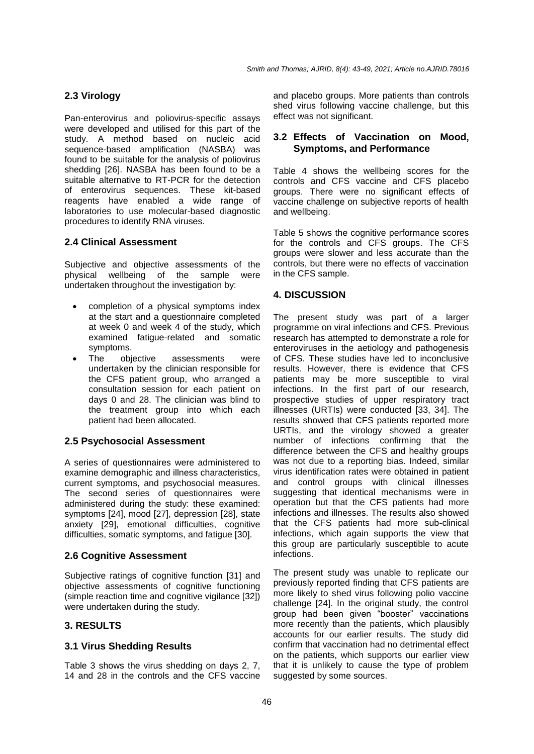## **2.3 Virology**

Pan-enterovirus and poliovirus-specific assays were developed and utilised for this part of the study. A method based on nucleic acid sequence-based amplification (NASBA) was found to be suitable for the analysis of poliovirus shedding [26]. NASBA has been found to be a suitable alternative to RT-PCR for the detection of enterovirus sequences. These kit-based reagents have enabled a wide range of laboratories to use molecular-based diagnostic procedures to identify RNA viruses.

#### **2.4 Clinical Assessment**

Subjective and objective assessments of the physical wellbeing of the sample were undertaken throughout the investigation by:

- completion of a physical symptoms index at the start and a questionnaire completed at week 0 and week 4 of the study, which examined fatigue-related and somatic symptoms.
- The objective assessments were undertaken by the clinician responsible for the CFS patient group, who arranged a consultation session for each patient on days 0 and 28. The clinician was blind to the treatment group into which each patient had been allocated.

#### **2.5 Psychosocial Assessment**

A series of questionnaires were administered to examine demographic and illness characteristics, current symptoms, and psychosocial measures. The second series of questionnaires were administered during the study: these examined: symptoms [24], mood [27], depression [28], state anxiety [29], emotional difficulties, cognitive difficulties, somatic symptoms, and fatigue [30].

#### **2.6 Cognitive Assessment**

Subjective ratings of cognitive function [31] and objective assessments of cognitive functioning (simple reaction time and cognitive vigilance [32]) were undertaken during the study.

# **3. RESULTS**

## **3.1 Virus Shedding Results**

Table 3 shows the virus shedding on days 2, 7, 14 and 28 in the controls and the CFS vaccine and placebo groups. More patients than controls shed virus following vaccine challenge, but this effect was not significant.

#### **3.2 Effects of Vaccination on Mood, Symptoms, and Performance**

Table 4 shows the wellbeing scores for the controls and CFS vaccine and CFS placebo groups. There were no significant effects of vaccine challenge on subjective reports of health and wellbeing.

Table 5 shows the cognitive performance scores for the controls and CFS groups. The CFS groups were slower and less accurate than the controls, but there were no effects of vaccination in the CFS sample.

## **4. DISCUSSION**

The present study was part of a larger programme on viral infections and CFS. Previous research has attempted to demonstrate a role for enteroviruses in the aetiology and pathogenesis of CFS. These studies have led to inconclusive results. However, there is evidence that CFS patients may be more susceptible to viral infections. In the first part of our research, prospective studies of upper respiratory tract illnesses (URTIs) were conducted [33, 34]. The results showed that CFS patients reported more URTIs, and the virology showed a greater number of infections confirming that the difference between the CFS and healthy groups was not due to a reporting bias. Indeed, similar virus identification rates were obtained in patient and control groups with clinical illnesses suggesting that identical mechanisms were in operation but that the CFS patients had more infections and illnesses. The results also showed that the CFS patients had more sub-clinical infections, which again supports the view that this group are particularly susceptible to acute infections.

The present study was unable to replicate our previously reported finding that CFS patients are more likely to shed virus following polio vaccine challenge [24]. In the original study, the control group had been given "booster" vaccinations more recently than the patients, which plausibly accounts for our earlier results. The study did confirm that vaccination had no detrimental effect on the patients, which supports our earlier view that it is unlikely to cause the type of problem suggested by some sources.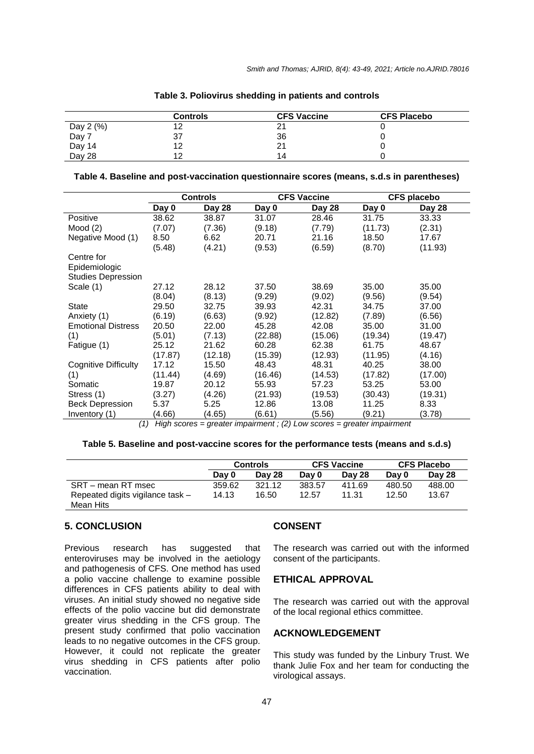|                    | <b>Controls</b> | <b>CFS Vaccine</b> | <b>CFS Placebo</b> |
|--------------------|-----------------|--------------------|--------------------|
|                    |                 | $-$                |                    |
| Day 2 (%)<br>Day 7 | 37              | 36                 |                    |
| Day 14<br>Day 28   |                 | 21                 |                    |
|                    | 10              | 14                 |                    |

**Table 3. Poliovirus shedding in patients and controls**

|  |  | Table 4. Baseline and post-vaccination questionnaire scores (means, s.d.s in parentheses) |  |  |
|--|--|-------------------------------------------------------------------------------------------|--|--|
|--|--|-------------------------------------------------------------------------------------------|--|--|

| Day 28<br>Day 0<br>Day 0<br>Day 28<br>Day 0<br>Day 28<br>38.62<br>38.87<br>31.07<br>28.46<br>31.75<br>33.33<br>Positive<br>(7.07)<br>(7.36)<br>(9.18)<br>(7.79)<br>(11.73)<br>(2.31)<br>Mood $(2)$<br>21.16<br>18.50<br>Negative Mood (1)<br>8.50<br>6.62<br>20.71<br>17.67<br>(5.48)<br>(4.21)<br>(9.53)<br>(6.59)<br>(8.70)<br>(11.93)<br>Centre for<br>Epidemiologic<br><b>Studies Depression</b><br>35.00<br>Scale (1)<br>27.12<br>28.12<br>37.50<br>38.69<br>35.00<br>(8.04)<br>(9.54)<br>(8.13)<br>(9.29)<br>(9.02)<br>(9.56)<br>State<br>29.50<br>39.93<br>42.31<br>37.00<br>32.75<br>34.75<br>(6.19)<br>(12.82)<br>(6.56)<br>(6.63)<br>(9.92)<br>(7.89)<br>Anxiety (1)<br>20.50<br>45.28<br>42.08<br>35.00<br><b>Emotional Distress</b><br>22.00<br>31.00 |
|-------------------------------------------------------------------------------------------------------------------------------------------------------------------------------------------------------------------------------------------------------------------------------------------------------------------------------------------------------------------------------------------------------------------------------------------------------------------------------------------------------------------------------------------------------------------------------------------------------------------------------------------------------------------------------------------------------------------------------------------------------------------|
|                                                                                                                                                                                                                                                                                                                                                                                                                                                                                                                                                                                                                                                                                                                                                                   |
|                                                                                                                                                                                                                                                                                                                                                                                                                                                                                                                                                                                                                                                                                                                                                                   |
|                                                                                                                                                                                                                                                                                                                                                                                                                                                                                                                                                                                                                                                                                                                                                                   |
|                                                                                                                                                                                                                                                                                                                                                                                                                                                                                                                                                                                                                                                                                                                                                                   |
|                                                                                                                                                                                                                                                                                                                                                                                                                                                                                                                                                                                                                                                                                                                                                                   |
|                                                                                                                                                                                                                                                                                                                                                                                                                                                                                                                                                                                                                                                                                                                                                                   |
|                                                                                                                                                                                                                                                                                                                                                                                                                                                                                                                                                                                                                                                                                                                                                                   |
|                                                                                                                                                                                                                                                                                                                                                                                                                                                                                                                                                                                                                                                                                                                                                                   |
|                                                                                                                                                                                                                                                                                                                                                                                                                                                                                                                                                                                                                                                                                                                                                                   |
|                                                                                                                                                                                                                                                                                                                                                                                                                                                                                                                                                                                                                                                                                                                                                                   |
|                                                                                                                                                                                                                                                                                                                                                                                                                                                                                                                                                                                                                                                                                                                                                                   |
|                                                                                                                                                                                                                                                                                                                                                                                                                                                                                                                                                                                                                                                                                                                                                                   |
|                                                                                                                                                                                                                                                                                                                                                                                                                                                                                                                                                                                                                                                                                                                                                                   |
| (1)<br>(5.01)<br>(22.88)<br>(19.34)<br>(19.47)<br>(7.13)<br>(15.06)                                                                                                                                                                                                                                                                                                                                                                                                                                                                                                                                                                                                                                                                                               |
| 60.28<br>62.38<br>48.67<br>25.12<br>21.62<br>61.75<br>Fatigue (1)                                                                                                                                                                                                                                                                                                                                                                                                                                                                                                                                                                                                                                                                                                 |
| (17.87)<br>(12.18)<br>(15.39)<br>(12.93)<br>(11.95)<br>(4.16)                                                                                                                                                                                                                                                                                                                                                                                                                                                                                                                                                                                                                                                                                                     |
| Cognitive Difficulty<br>17.12<br>48.31<br>40.25<br>15.50<br>48.43<br>38.00                                                                                                                                                                                                                                                                                                                                                                                                                                                                                                                                                                                                                                                                                        |
| (11.44)<br>(4.69)<br>(16.46)<br>(14.53)<br>(17.82)<br>(17.00)<br>(1)                                                                                                                                                                                                                                                                                                                                                                                                                                                                                                                                                                                                                                                                                              |
| 19.87<br>55.93<br>53.25<br>53.00<br>20.12<br>57.23<br>Somatic                                                                                                                                                                                                                                                                                                                                                                                                                                                                                                                                                                                                                                                                                                     |
| (3.27)<br>(4.26)<br>(19.53)<br>(30.43)<br>(19.31)<br>Stress (1)<br>(21.93)                                                                                                                                                                                                                                                                                                                                                                                                                                                                                                                                                                                                                                                                                        |
| 12.86<br><b>Beck Depression</b><br>5.37<br>5.25<br>13.08<br>11.25<br>8.33                                                                                                                                                                                                                                                                                                                                                                                                                                                                                                                                                                                                                                                                                         |
| (6.61)<br>(4.66)<br>(4.65)<br>(9.21)<br>(3.78)<br>Inventory (1)<br>(5.56)<br>$Lish$ coarge $aracher$ impoirment $(2)$ $l$ au coarge $aracher$ impoirment                                                                                                                                                                                                                                                                                                                                                                                                                                                                                                                                                                                                          |

*(1) High scores = greater impairment ; (2) Low scores = greater impairment*

|  | Table 5. Baseline and post-vaccine scores for the performance tests (means and s.d.s) |  |  |  |
|--|---------------------------------------------------------------------------------------|--|--|--|
|--|---------------------------------------------------------------------------------------|--|--|--|

|                                               | <b>Controls</b> |               | <b>CFS Vaccine</b> |        | <b>CFS Placebo</b> |        |
|-----------------------------------------------|-----------------|---------------|--------------------|--------|--------------------|--------|
|                                               | Day 0           | <b>Day 28</b> | Day 0              | Day 28 | Day 0              | Day 28 |
| SRT – mean RT msec                            | 359.62          | 321.12        | 383.57             | 411.69 | 480.50             | 488.00 |
| Repeated digits vigilance task -<br>Mean Hits | 14.13           | 16.50         | 12.57              | 11.31  | 12.50              | 13.67  |

#### **5. CONCLUSION**

Previous research has suggested that enteroviruses may be involved in the aetiology and pathogenesis of CFS. One method has used a polio vaccine challenge to examine possible differences in CFS patients ability to deal with viruses. An initial study showed no negative side effects of the polio vaccine but did demonstrate greater virus shedding in the CFS group. The present study confirmed that polio vaccination leads to no negative outcomes in the CFS group. However, it could not replicate the greater virus shedding in CFS patients after polio vaccination.

#### **CONSENT**

The research was carried out with the informed consent of the participants.

#### **ETHICAL APPROVAL**

The research was carried out with the approval of the local regional ethics committee.

#### **ACKNOWLEDGEMENT**

This study was funded by the Linbury Trust. We thank Julie Fox and her team for conducting the virological assays.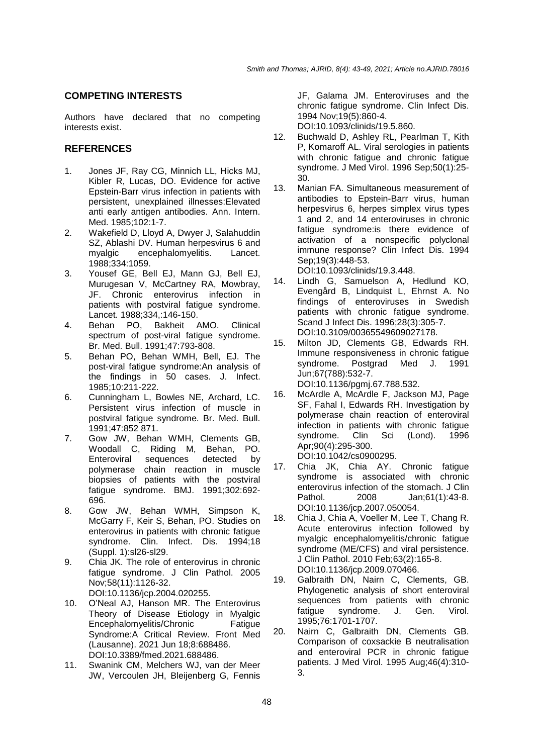#### **COMPETING INTERESTS**

Authors have declared that no competing interests exist.

# **REFERENCES**

- 1. Jones JF, Ray CG, Minnich LL, Hicks MJ, Kibler R, Lucas, DO. Evidence for active Epstein-Barr virus infection in patients with persistent, unexplained illnesses:Elevated anti early antigen antibodies. Ann. Intern. Med. 1985;102:1-7.
- 2. Wakefield D, Lloyd A, Dwyer J, Salahuddin SZ, Ablashi DV. Human herpesvirus 6 and myalgic encephalomyelitis. Lancet. 1988;334:1059.
- 3. Yousef GE, Bell EJ, Mann GJ, Bell EJ, Murugesan V, McCartney RA, Mowbray, JF. Chronic enterovirus infection in patients with postviral fatigue syndrome. Lancet. 1988;334,:146-150.
- 4. Behan PO, Bakheit AMO. Clinical spectrum of post-viral fatigue syndrome. Br. Med. Bull. 1991;47:793-808.
- 5. Behan PO, Behan WMH, Bell, EJ. The post-viral fatigue syndrome:An analysis of the findings in 50 cases. J. Infect. 1985;10:211-222.
- 6. Cunningham L, Bowles NE, Archard, LC. Persistent virus infection of muscle in postviral fatigue syndrome. Br. Med. Bull. 1991;47:852 871.
- 7. Gow JW, Behan WMH, Clements GB, Woodall C, Riding M, Behan, PO. Enteroviral sequences detected by polymerase chain reaction in muscle biopsies of patients with the postviral fatigue syndrome. BMJ. 1991;302:692- 696.
- 8. Gow JW, Behan WMH, Simpson K, McGarry F, Keir S, Behan, PO. Studies on enterovirus in patients with chronic fatigue syndrome. Clin. Infect. Dis. 1994;18 (Suppl. 1):sl26-sl29.
- 9. Chia JK. The role of enterovirus in chronic fatigue syndrome. J Clin Pathol. 2005 Nov;58(11):1126-32. DOI:10.1136/jcp.2004.020255.
- 10. O'Neal AJ, Hanson MR. The Enterovirus Theory of Disease Etiology in Myalgic Encephalomyelitis/Chronic Fatique Syndrome:A Critical Review. Front Med (Lausanne). 2021 Jun 18;8:688486. DOI:10.3389/fmed.2021.688486.
- 11. Swanink CM, Melchers WJ, van der Meer JW, Vercoulen JH, Bleijenberg G, Fennis

JF, Galama JM. Enteroviruses and the chronic fatigue syndrome. Clin Infect Dis. 1994 Nov;19(5):860-4.

DOI:10.1093/clinids/19.5.860.

- 12. Buchwald D, Ashley RL, Pearlman T, Kith P, Komaroff AL. Viral serologies in patients with chronic fatigue and chronic fatigue syndrome. J Med Virol. 1996 Sep;50(1):25- 30.
- 13. Manian FA. Simultaneous measurement of antibodies to Epstein-Barr virus, human herpesvirus 6, herpes simplex virus types 1 and 2, and 14 enteroviruses in chronic fatigue syndrome:is there evidence of activation of a nonspecific polyclonal immune response? Clin Infect Dis. 1994 Sep;19(3):448-53. DOI:10.1093/clinids/19.3.448.
- 14. Lindh G, Samuelson A, Hedlund KO, Evengård B, Lindquist L, Ehrnst A. No findings of enteroviruses in Swedish patients with chronic fatigue syndrome. Scand J Infect Dis. 1996;28(3):305-7. DOI:10.3109/00365549609027178.
- 15. Milton JD, Clements GB, Edwards RH. Immune responsiveness in chronic fatigue<br>svndrome. Postarad Med J. 1991 syndrome. Postgrad Med J. Jun;67(788):532-7. DOI:10.1136/pgmj.67.788.532.

- 16. McArdle A, McArdle F, Jackson MJ, Page SF, Fahal I, Edwards RH. Investigation by polymerase chain reaction of enteroviral infection in patients with chronic fatigue syndrome. Clin Sci (Lond). 1996 Apr;90(4):295-300. DOI:10.1042/cs0900295.
- 17. Chia JK, Chia AY. Chronic fatigue syndrome is associated with chronic enterovirus infection of the stomach. J Clin Pathol. 2008 Jan;61(1):43-8. DOI:10.1136/jcp.2007.050054.
- 18. Chia J, Chia A, Voeller M, Lee T, Chang R. Acute enterovirus infection followed by myalgic encephalomyelitis/chronic fatigue syndrome (ME/CFS) and viral persistence. J Clin Pathol. 2010 Feb;63(2):165-8. DOI:10.1136/jcp.2009.070466.
- 19. Galbraith DN, Nairn C, Clements, GB. Phylogenetic analysis of short enteroviral sequences from patients with chronic fatigue syndrome. J. Gen. Virol. 1995;76:1701-1707.
- 20. Nairn C, Galbraith DN, Clements GB. Comparison of coxsackie B neutralisation and enteroviral PCR in chronic fatigue patients. J Med Virol. 1995 Aug;46(4):310- 3.